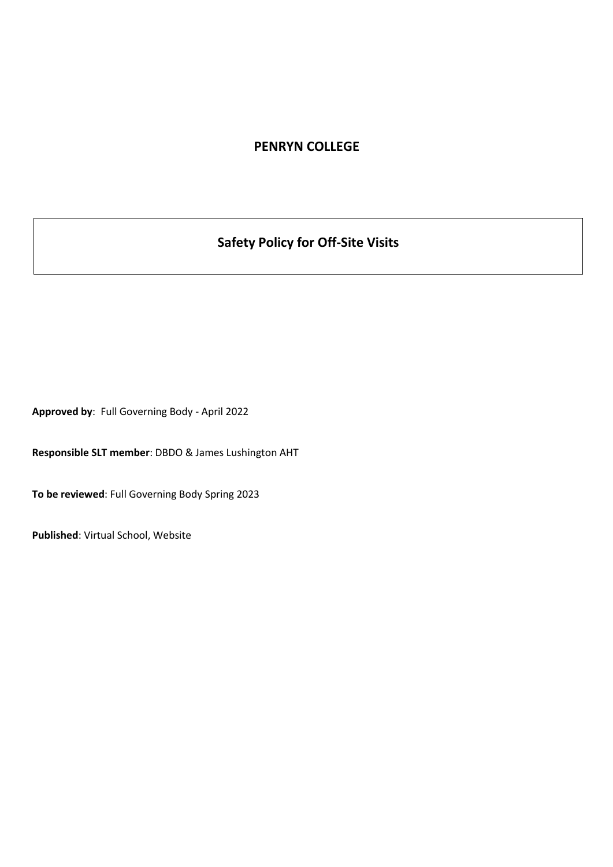## **PENRYN COLLEGE**

# **Safety Policy for Off-Site Visits**

**Approved by**: Full Governing Body - April 2022

**Responsible SLT member**: DBDO & James Lushington AHT

**To be reviewed**: Full Governing Body Spring 2023

**Published**: Virtual School, Website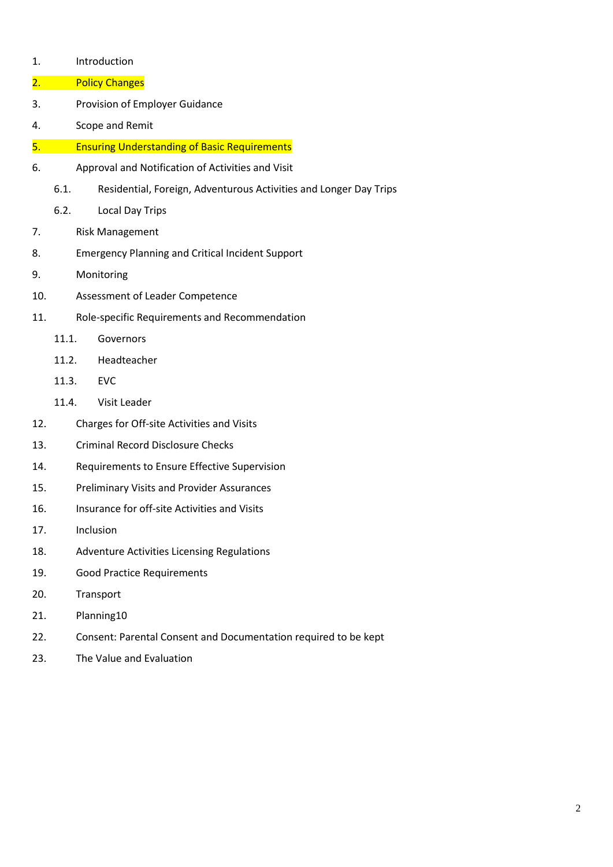- 1. Introduction
- 2. Policy Changes
- 3. Provision of Employer Guidance
- 4. Scope and Remit
- 5. Ensuring Understanding of Basic Requirements
- 6. Approval and Notification of Activities and Visit
	- 6.1. Residential, Foreign, Adventurous Activities and Longer Day Trips
	- 6.2. Local Day Trips
- 7. Risk Management
- 8. Emergency Planning and Critical Incident Support
- 9. Monitoring
- 10. Assessment of Leader Competence
- 11. Role-specific Requirements and Recommendation
	- 11.1. Governors
	- 11.2. Headteacher
	- 11.3. EVC
	- 11.4. Visit Leader
- 12. Charges for Off-site Activities and Visits
- 13. Criminal Record Disclosure Checks
- 14. Requirements to Ensure Effective Supervision
- 15. Preliminary Visits and Provider Assurances
- 16. Insurance for off-site Activities and Visits
- 17. Inclusion
- 18. Adventure Activities Licensing Regulations
- 19. Good Practice Requirements
- 20. Transport
- 21. Planning10
- 22. Consent: Parental Consent and Documentation required to be kept
- 23. The Value and Evaluation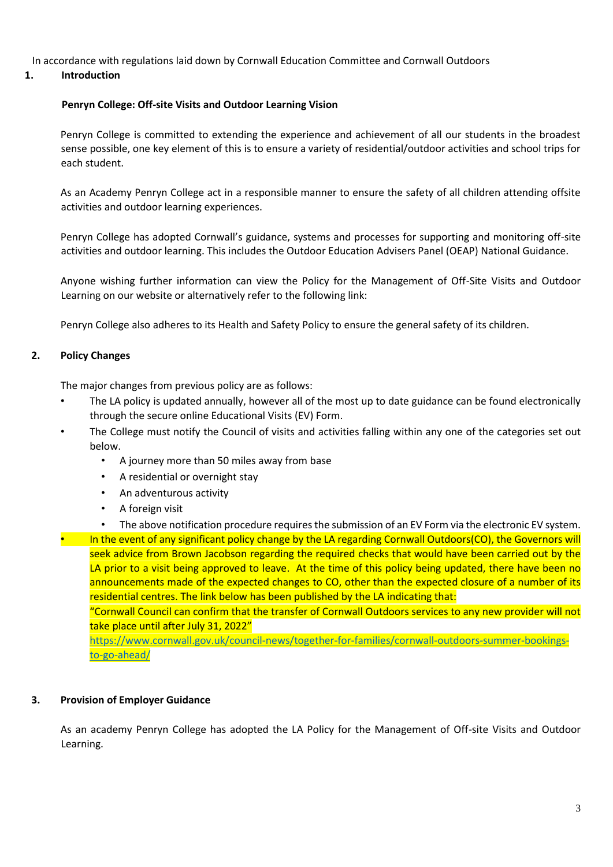In accordance with regulations laid down by Cornwall Education Committee and Cornwall Outdoors

#### **1. Introduction**

#### **Penryn College: Off-site Visits and Outdoor Learning Vision**

Penryn College is committed to extending the experience and achievement of all our students in the broadest sense possible, one key element of this is to ensure a variety of residential/outdoor activities and school trips for each student.

As an Academy Penryn College act in a responsible manner to ensure the safety of all children attending offsite activities and outdoor learning experiences.

Penryn College has adopted Cornwall's guidance, systems and processes for supporting and monitoring off-site activities and outdoor learning. This includes the Outdoor Education Advisers Panel (OEAP) National Guidance.

Anyone wishing further information can view the Policy for the Management of Off-Site Visits and Outdoor Learning on our website or alternatively refer to the following link:

Penryn College also adheres to its Health and Safety Policy to ensure the general safety of its children.

#### **2. Policy Changes**

The major changes from previous policy are as follows:

- The LA policy is updated annually, however all of the most up to date guidance can be found electronically through the secure online Educational Visits (EV) Form.
- The College must notify the Council of visits and activities falling within any one of the categories set out below.
	- A journey more than 50 miles away from base
	- A residential or overnight stay
	- An adventurous activity
	- A foreign visit
	- The above notification procedure requires the submission of an EV Form via the electronic EV system.

• In the event of any significant policy change by the LA regarding Cornwall Outdoors(CO), the Governors will seek advice from Brown Jacobson regarding the required checks that would have been carried out by the LA prior to a visit being approved to leave. At the time of this policy being updated, there have been no announcements made of the expected changes to CO, other than the expected closure of a number of its residential centres. The link below has been published by the LA indicating that:

"Cornwall Council can confirm that the transfer of Cornwall Outdoors services to any new provider will not take place until after July 31, 2022"

[https://www.cornwall.gov.uk/council-news/together-for-families/cornwall-outdoors-summer-bookings](https://www.cornwall.gov.uk/council-news/together-for-families/cornwall-outdoors-summer-bookings-to-go-ahead/)[to-go-ahead/](https://www.cornwall.gov.uk/council-news/together-for-families/cornwall-outdoors-summer-bookings-to-go-ahead/)

#### **3. Provision of Employer Guidance**

As an academy Penryn College has adopted the LA Policy for the Management of Off-site Visits and Outdoor Learning.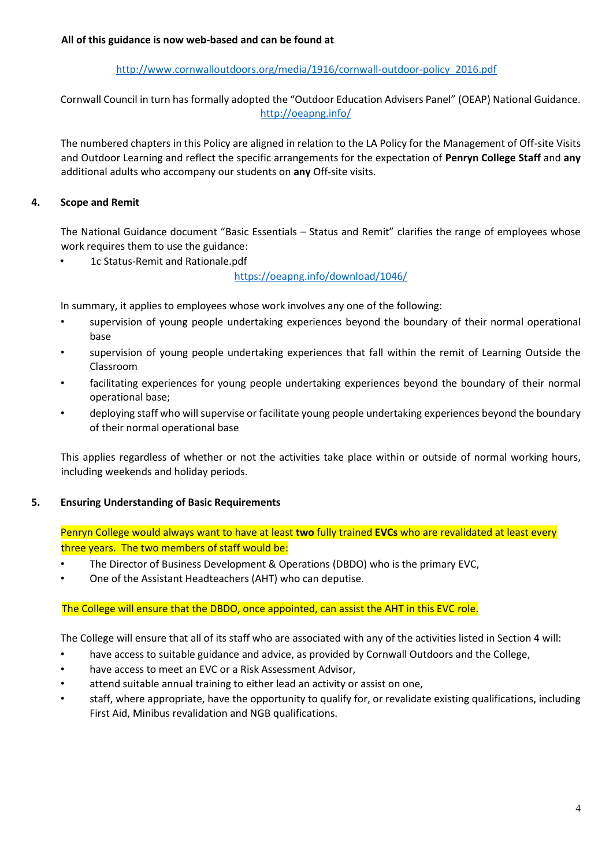## [http://www.cornwalloutdoors.org/media/1916/cornwall-outdoor-policy\\_2016.pdf](http://www.cornwalloutdoors.org/media/1916/cornwall-outdoor-policy_2016.pdf)

Cornwall Council in turn has formally adopted the "Outdoor Education Advisers Panel" (OEAP) National Guidance. <http://oeapng.info/>

The numbered chapters in this Policy are aligned in relation to the LA Policy for the Management of Off-site Visits and Outdoor Learning and reflect the specific arrangements for the expectation of **Penryn College Staff** and **any** additional adults who accompany our students on **any** Off-site visits.

## **4. Scope and Remit**

The National Guidance document "Basic Essentials – Status and Remit" clarifies the range of employees whose work requires them to use the guidance:

• 1c Status-Remit and Rationale.pdf

<https://oeapng.info/download/1046/>

In summary, it applies to employees whose work involves any one of the following:

- supervision of young people undertaking experiences beyond the boundary of their normal operational base
- supervision of young people undertaking experiences that fall within the remit of Learning Outside the Classroom
- facilitating experiences for young people undertaking experiences beyond the boundary of their normal operational base;
- deploying staff who will supervise or facilitate young people undertaking experiences beyond the boundary of their normal operational base

This applies regardless of whether or not the activities take place within or outside of normal working hours, including weekends and holiday periods.

## **5. Ensuring Understanding of Basic Requirements**

Penryn College would always want to have at least **two** fully trained **EVCs** who are revalidated at least every three years. The two members of staff would be:

- The Director of Business Development & Operations (DBDO) who is the primary EVC,
- One of the Assistant Headteachers (AHT) who can deputise.

#### The College will ensure that the DBDO, once appointed, can assist the AHT in this EVC role.

The College will ensure that all of its staff who are associated with any of the activities listed in Section 4 will:

- have access to suitable guidance and advice, as provided by Cornwall Outdoors and the College,
- have access to meet an EVC or a Risk Assessment Advisor,
- attend suitable annual training to either lead an activity or assist on one,
- staff, where appropriate, have the opportunity to qualify for, or revalidate existing qualifications, including First Aid, Minibus revalidation and NGB qualifications.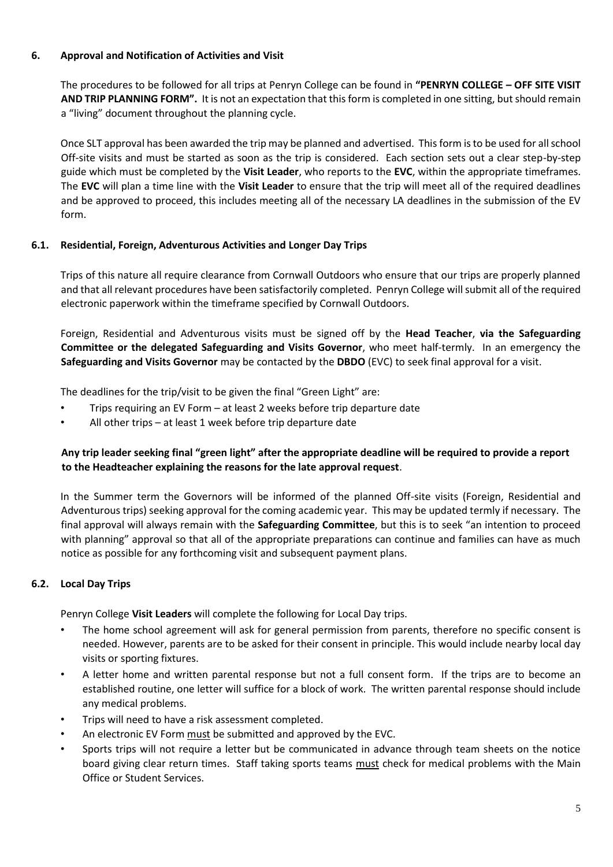## **6. Approval and Notification of Activities and Visit**

The procedures to be followed for all trips at Penryn College can be found in **"PENRYN COLLEGE – OFF SITE VISIT AND TRIP PLANNING FORM".** It is not an expectation that this form is completed in one sitting, but should remain a "living" document throughout the planning cycle.

Once SLT approval has been awarded the trip may be planned and advertised. This form is to be used for all school Off-site visits and must be started as soon as the trip is considered. Each section sets out a clear step-by-step guide which must be completed by the **Visit Leader**, who reports to the **EVC**, within the appropriate timeframes. The **EVC** will plan a time line with the **Visit Leader** to ensure that the trip will meet all of the required deadlines and be approved to proceed, this includes meeting all of the necessary LA deadlines in the submission of the EV form.

## **6.1. Residential, Foreign, Adventurous Activities and Longer Day Trips**

Trips of this nature all require clearance from Cornwall Outdoors who ensure that our trips are properly planned and that all relevant procedures have been satisfactorily completed. Penryn College will submit all of the required electronic paperwork within the timeframe specified by Cornwall Outdoors.

Foreign, Residential and Adventurous visits must be signed off by the **Head Teacher**, **via the Safeguarding Committee or the delegated Safeguarding and Visits Governor**, who meet half-termly. In an emergency the **Safeguarding and Visits Governor** may be contacted by the **DBDO** (EVC) to seek final approval for a visit.

The deadlines for the trip/visit to be given the final "Green Light" are:

- Trips requiring an EV Form at least 2 weeks before trip departure date
- All other trips at least 1 week before trip departure date

## **Any trip leader seeking final "green light" after the appropriate deadline will be required to provide a report to the Headteacher explaining the reasons for the late approval request**.

In the Summer term the Governors will be informed of the planned Off-site visits (Foreign, Residential and Adventurous trips) seeking approval for the coming academic year. This may be updated termly if necessary. The final approval will always remain with the **Safeguarding Committee**, but this is to seek "an intention to proceed with planning" approval so that all of the appropriate preparations can continue and families can have as much notice as possible for any forthcoming visit and subsequent payment plans.

## **6.2. Local Day Trips**

Penryn College **Visit Leaders** will complete the following for Local Day trips.

- The home school agreement will ask for general permission from parents, therefore no specific consent is needed. However, parents are to be asked for their consent in principle. This would include nearby local day visits or sporting fixtures.
- A letter home and written parental response but not a full consent form. If the trips are to become an established routine, one letter will suffice for a block of work. The written parental response should include any medical problems.
- Trips will need to have a risk assessment completed.
- An electronic EV Form must be submitted and approved by the EVC.
- Sports trips will not require a letter but be communicated in advance through team sheets on the notice board giving clear return times. Staff taking sports teams must check for medical problems with the Main Office or Student Services.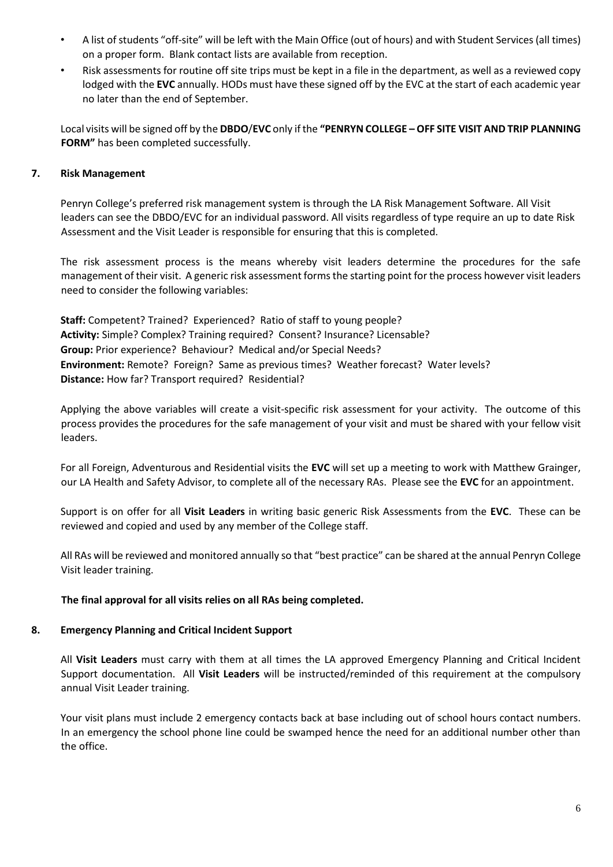- A list of students "off-site" will be left with the Main Office (out of hours) and with Student Services (all times) on a proper form. Blank contact lists are available from reception.
- Risk assessments for routine off site trips must be kept in a file in the department, as well as a reviewed copy lodged with the **EVC** annually. HODs must have these signed off by the EVC at the start of each academic year no later than the end of September.

Local visits will be signed off by the **DBDO**/**EVC** only if the **"PENRYN COLLEGE – OFF SITE VISIT AND TRIP PLANNING FORM"** has been completed successfully.

## **7. Risk Management**

Penryn College's preferred risk management system is through the LA Risk Management Software. All Visit leaders can see the DBDO/EVC for an individual password. All visits regardless of type require an up to date Risk Assessment and the Visit Leader is responsible for ensuring that this is completed.

The risk assessment process is the means whereby visit leaders determine the procedures for the safe management of their visit. A generic risk assessment forms the starting point for the process however visit leaders need to consider the following variables:

**Staff:** Competent? Trained? Experienced? Ratio of staff to young people? **Activity:** Simple? Complex? Training required? Consent? Insurance? Licensable? **Group:** Prior experience? Behaviour? Medical and/or Special Needs? **Environment:** Remote? Foreign? Same as previous times? Weather forecast? Water levels? **Distance:** How far? Transport required? Residential?

Applying the above variables will create a visit-specific risk assessment for your activity. The outcome of this process provides the procedures for the safe management of your visit and must be shared with your fellow visit leaders.

For all Foreign, Adventurous and Residential visits the **EVC** will set up a meeting to work with Matthew Grainger, our LA Health and Safety Advisor, to complete all of the necessary RAs. Please see the **EVC** for an appointment.

Support is on offer for all **Visit Leaders** in writing basic generic Risk Assessments from the **EVC**. These can be reviewed and copied and used by any member of the College staff.

All RAs will be reviewed and monitored annually so that "best practice" can be shared at the annual Penryn College Visit leader training.

#### **The final approval for all visits relies on all RAs being completed.**

#### **8. Emergency Planning and Critical Incident Support**

All **Visit Leaders** must carry with them at all times the LA approved Emergency Planning and Critical Incident Support documentation. All **Visit Leaders** will be instructed/reminded of this requirement at the compulsory annual Visit Leader training.

Your visit plans must include 2 emergency contacts back at base including out of school hours contact numbers. In an emergency the school phone line could be swamped hence the need for an additional number other than the office.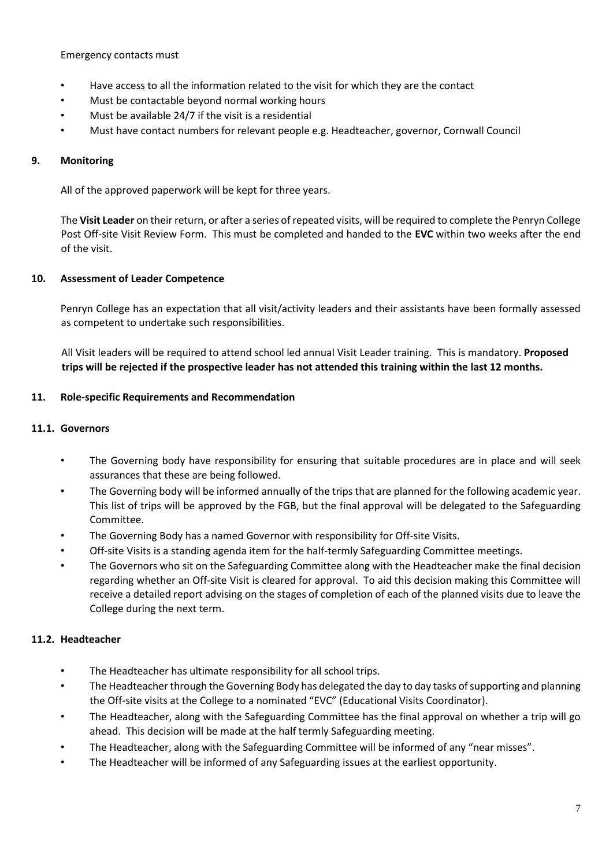Emergency contacts must

- Have access to all the information related to the visit for which they are the contact
- Must be contactable beyond normal working hours
- Must be available 24/7 if the visit is a residential
- Must have contact numbers for relevant people e.g. Headteacher, governor, Cornwall Council

## **9. Monitoring**

All of the approved paperwork will be kept for three years.

The **Visit Leader** on their return, or after a series of repeated visits, will be required to complete the Penryn College Post Off-site Visit Review Form. This must be completed and handed to the **EVC** within two weeks after the end of the visit.

## **10. Assessment of Leader Competence**

Penryn College has an expectation that all visit/activity leaders and their assistants have been formally assessed as competent to undertake such responsibilities.

All Visit leaders will be required to attend school led annual Visit Leader training. This is mandatory. **Proposed trips will be rejected if the prospective leader has not attended this training within the last 12 months.** 

#### **11. Role-specific Requirements and Recommendation**

#### **11.1. Governors**

- The Governing body have responsibility for ensuring that suitable procedures are in place and will seek assurances that these are being followed.
- The Governing body will be informed annually of the trips that are planned for the following academic year. This list of trips will be approved by the FGB, but the final approval will be delegated to the Safeguarding Committee.
- The Governing Body has a named Governor with responsibility for Off-site Visits.
- Off-site Visits is a standing agenda item for the half-termly Safeguarding Committee meetings.
- The Governors who sit on the Safeguarding Committee along with the Headteacher make the final decision regarding whether an Off-site Visit is cleared for approval. To aid this decision making this Committee will receive a detailed report advising on the stages of completion of each of the planned visits due to leave the College during the next term.

## **11.2. Headteacher**

- The Headteacher has ultimate responsibility for all school trips.
- The Headteacher through the Governing Body has delegated the day to day tasks of supporting and planning the Off-site visits at the College to a nominated "EVC" (Educational Visits Coordinator).
- The Headteacher, along with the Safeguarding Committee has the final approval on whether a trip will go ahead. This decision will be made at the half termly Safeguarding meeting.
- The Headteacher, along with the Safeguarding Committee will be informed of any "near misses".
- The Headteacher will be informed of any Safeguarding issues at the earliest opportunity.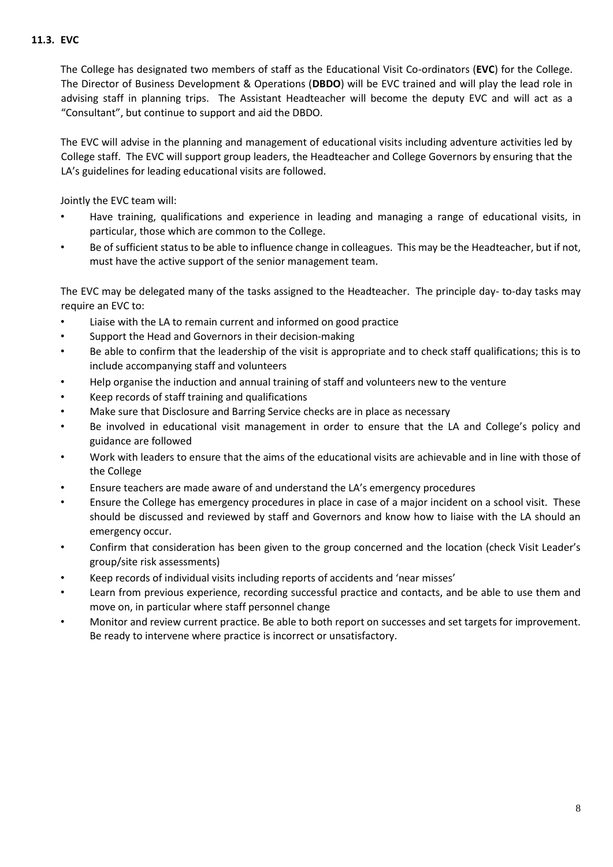## **11.3. EVC**

The College has designated two members of staff as the Educational Visit Co-ordinators (**EVC**) for the College. The Director of Business Development & Operations (**DBDO**) will be EVC trained and will play the lead role in advising staff in planning trips. The Assistant Headteacher will become the deputy EVC and will act as a "Consultant", but continue to support and aid the DBDO.

The EVC will advise in the planning and management of educational visits including adventure activities led by College staff. The EVC will support group leaders, the Headteacher and College Governors by ensuring that the LA's guidelines for leading educational visits are followed.

Jointly the EVC team will:

- Have training, qualifications and experience in leading and managing a range of educational visits, in particular, those which are common to the College.
- Be of sufficient status to be able to influence change in colleagues. This may be the Headteacher, but if not, must have the active support of the senior management team.

The EVC may be delegated many of the tasks assigned to the Headteacher. The principle day- to-day tasks may require an EVC to:

- Liaise with the LA to remain current and informed on good practice
- Support the Head and Governors in their decision-making
- Be able to confirm that the leadership of the visit is appropriate and to check staff qualifications; this is to include accompanying staff and volunteers
- Help organise the induction and annual training of staff and volunteers new to the venture
- Keep records of staff training and qualifications
- Make sure that Disclosure and Barring Service checks are in place as necessary
- Be involved in educational visit management in order to ensure that the LA and College's policy and guidance are followed
- Work with leaders to ensure that the aims of the educational visits are achievable and in line with those of the College
- Ensure teachers are made aware of and understand the LA's emergency procedures
- Ensure the College has emergency procedures in place in case of a major incident on a school visit. These should be discussed and reviewed by staff and Governors and know how to liaise with the LA should an emergency occur.
- Confirm that consideration has been given to the group concerned and the location (check Visit Leader's group/site risk assessments)
- Keep records of individual visits including reports of accidents and 'near misses'
- Learn from previous experience, recording successful practice and contacts, and be able to use them and move on, in particular where staff personnel change
- Monitor and review current practice. Be able to both report on successes and set targets for improvement. Be ready to intervene where practice is incorrect or unsatisfactory.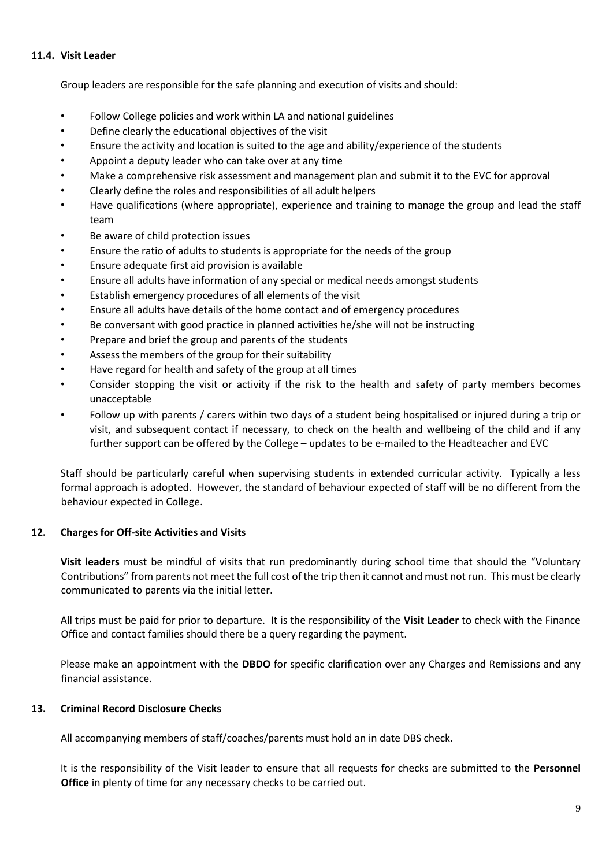#### **11.4. Visit Leader**

Group leaders are responsible for the safe planning and execution of visits and should:

- Follow College policies and work within LA and national guidelines
- Define clearly the educational objectives of the visit
- Ensure the activity and location is suited to the age and ability/experience of the students
- Appoint a deputy leader who can take over at any time
- Make a comprehensive risk assessment and management plan and submit it to the EVC for approval
- Clearly define the roles and responsibilities of all adult helpers
- Have qualifications (where appropriate), experience and training to manage the group and lead the staff team
- Be aware of child protection issues
- Ensure the ratio of adults to students is appropriate for the needs of the group
- Ensure adequate first aid provision is available
- Ensure all adults have information of any special or medical needs amongst students
- Establish emergency procedures of all elements of the visit
- Ensure all adults have details of the home contact and of emergency procedures
- Be conversant with good practice in planned activities he/she will not be instructing
- Prepare and brief the group and parents of the students
- Assess the members of the group for their suitability
- Have regard for health and safety of the group at all times
- Consider stopping the visit or activity if the risk to the health and safety of party members becomes unacceptable
- Follow up with parents / carers within two days of a student being hospitalised or injured during a trip or visit, and subsequent contact if necessary, to check on the health and wellbeing of the child and if any further support can be offered by the College – updates to be e-mailed to the Headteacher and EVC

Staff should be particularly careful when supervising students in extended curricular activity. Typically a less formal approach is adopted. However, the standard of behaviour expected of staff will be no different from the behaviour expected in College.

## **12. Charges for Off-site Activities and Visits**

**Visit leaders** must be mindful of visits that run predominantly during school time that should the "Voluntary Contributions" from parents not meet the full cost of the trip then it cannot and must not run. This must be clearly communicated to parents via the initial letter.

All trips must be paid for prior to departure. It is the responsibility of the **Visit Leader** to check with the Finance Office and contact families should there be a query regarding the payment.

Please make an appointment with the **DBDO** for specific clarification over any Charges and Remissions and any financial assistance.

## **13. Criminal Record Disclosure Checks**

All accompanying members of staff/coaches/parents must hold an in date DBS check.

It is the responsibility of the Visit leader to ensure that all requests for checks are submitted to the **Personnel Office** in plenty of time for any necessary checks to be carried out.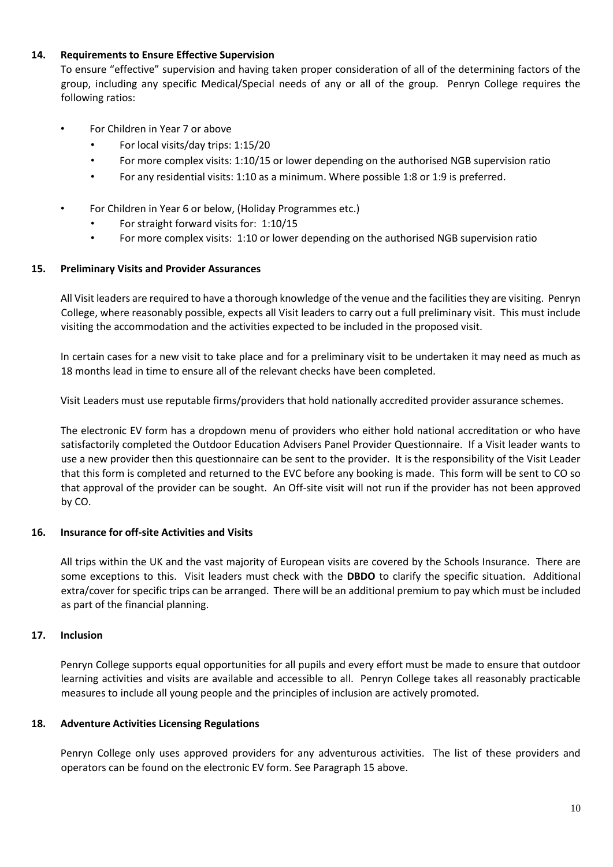## **14. Requirements to Ensure Effective Supervision**

To ensure "effective" supervision and having taken proper consideration of all of the determining factors of the group, including any specific Medical/Special needs of any or all of the group. Penryn College requires the following ratios:

- For Children in Year 7 or above
	- For local visits/day trips: 1:15/20
	- For more complex visits: 1:10/15 or lower depending on the authorised NGB supervision ratio
	- For any residential visits: 1:10 as a minimum. Where possible 1:8 or 1:9 is preferred.
- For Children in Year 6 or below, (Holiday Programmes etc.)
	- For straight forward visits for: 1:10/15
	- For more complex visits: 1:10 or lower depending on the authorised NGB supervision ratio

## **15. Preliminary Visits and Provider Assurances**

All Visit leaders are required to have a thorough knowledge of the venue and the facilities they are visiting. Penryn College, where reasonably possible, expects all Visit leaders to carry out a full preliminary visit. This must include visiting the accommodation and the activities expected to be included in the proposed visit.

In certain cases for a new visit to take place and for a preliminary visit to be undertaken it may need as much as 18 months lead in time to ensure all of the relevant checks have been completed.

Visit Leaders must use reputable firms/providers that hold nationally accredited provider assurance schemes.

The electronic EV form has a dropdown menu of providers who either hold national accreditation or who have satisfactorily completed the Outdoor Education Advisers Panel Provider Questionnaire. If a Visit leader wants to use a new provider then this questionnaire can be sent to the provider. It is the responsibility of the Visit Leader that this form is completed and returned to the EVC before any booking is made. This form will be sent to CO so that approval of the provider can be sought. An Off-site visit will not run if the provider has not been approved by CO.

## **16. Insurance for off-site Activities and Visits**

All trips within the UK and the vast majority of European visits are covered by the Schools Insurance. There are some exceptions to this. Visit leaders must check with the **DBDO** to clarify the specific situation. Additional extra/cover for specific trips can be arranged. There will be an additional premium to pay which must be included as part of the financial planning.

## **17. Inclusion**

Penryn College supports equal opportunities for all pupils and every effort must be made to ensure that outdoor learning activities and visits are available and accessible to all. Penryn College takes all reasonably practicable measures to include all young people and the principles of inclusion are actively promoted.

## **18. Adventure Activities Licensing Regulations**

Penryn College only uses approved providers for any adventurous activities. The list of these providers and operators can be found on the electronic EV form. See Paragraph 15 above.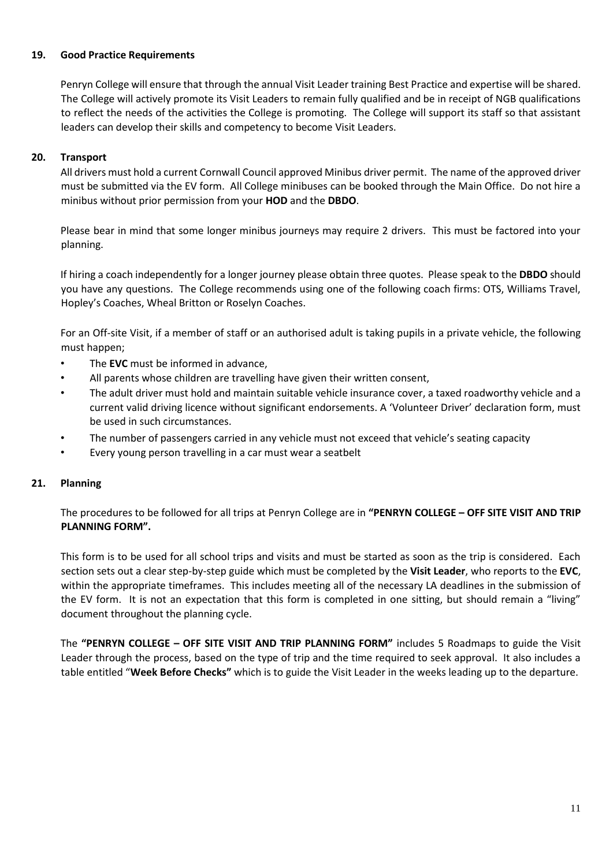## **19. Good Practice Requirements**

Penryn College will ensure that through the annual Visit Leader training Best Practice and expertise will be shared. The College will actively promote its Visit Leaders to remain fully qualified and be in receipt of NGB qualifications to reflect the needs of the activities the College is promoting. The College will support its staff so that assistant leaders can develop their skills and competency to become Visit Leaders.

## **20. Transport**

All drivers must hold a current Cornwall Council approved Minibus driver permit. The name of the approved driver must be submitted via the EV form. All College minibuses can be booked through the Main Office. Do not hire a minibus without prior permission from your **HOD** and the **DBDO**.

Please bear in mind that some longer minibus journeys may require 2 drivers. This must be factored into your planning.

If hiring a coach independently for a longer journey please obtain three quotes. Please speak to the **DBDO** should you have any questions. The College recommends using one of the following coach firms: OTS, Williams Travel, Hopley's Coaches, Wheal Britton or Roselyn Coaches.

For an Off-site Visit, if a member of staff or an authorised adult is taking pupils in a private vehicle, the following must happen;

- The **EVC** must be informed in advance,
- All parents whose children are travelling have given their written consent,
- The adult driver must hold and maintain suitable vehicle insurance cover, a taxed roadworthy vehicle and a current valid driving licence without significant endorsements. A 'Volunteer Driver' declaration form, must be used in such circumstances.
- The number of passengers carried in any vehicle must not exceed that vehicle's seating capacity
- Every young person travelling in a car must wear a seatbelt

## **21. Planning**

The procedures to be followed for all trips at Penryn College are in **"PENRYN COLLEGE – OFF SITE VISIT AND TRIP PLANNING FORM".** 

This form is to be used for all school trips and visits and must be started as soon as the trip is considered. Each section sets out a clear step-by-step guide which must be completed by the **Visit Leader**, who reports to the **EVC**, within the appropriate timeframes. This includes meeting all of the necessary LA deadlines in the submission of the EV form. It is not an expectation that this form is completed in one sitting, but should remain a "living" document throughout the planning cycle.

The **"PENRYN COLLEGE – OFF SITE VISIT AND TRIP PLANNING FORM"** includes 5 Roadmaps to guide the Visit Leader through the process, based on the type of trip and the time required to seek approval. It also includes a table entitled "**Week Before Checks"** which is to guide the Visit Leader in the weeks leading up to the departure.